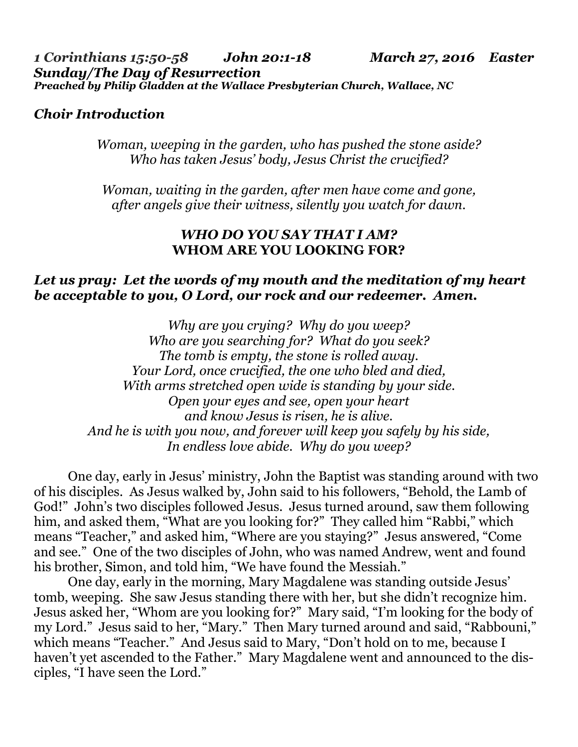### *Choir Introduction*

*Woman, weeping in the garden, who has pushed the stone aside? Who has taken Jesus' body, Jesus Christ the crucified?* 

*Woman, waiting in the garden, after men have come and gone, after angels give their witness, silently you watch for dawn.*

#### *WHO DO YOU SAY THAT I AM?*  **WHOM ARE YOU LOOKING FOR?**

### *Let us pray: Let the words of my mouth and the meditation of my heart be acceptable to you, O Lord, our rock and our redeemer. Amen.*

*Why are you crying? Why do you weep? Who are you searching for? What do you seek? The tomb is empty, the stone is rolled away. Your Lord, once crucified, the one who bled and died, With arms stretched open wide is standing by your side. Open your eyes and see, open your heart and know Jesus is risen, he is alive. And he is with you now, and forever will keep you safely by his side, In endless love abide. Why do you weep?*

 One day, early in Jesus' ministry, John the Baptist was standing around with two of his disciples. As Jesus walked by, John said to his followers, "Behold, the Lamb of God!" John's two disciples followed Jesus. Jesus turned around, saw them following him, and asked them, "What are you looking for?" They called him "Rabbi," which means "Teacher," and asked him, "Where are you staying?" Jesus answered, "Come and see." One of the two disciples of John, who was named Andrew, went and found his brother, Simon, and told him, "We have found the Messiah."

 One day, early in the morning, Mary Magdalene was standing outside Jesus' tomb, weeping. She saw Jesus standing there with her, but she didn't recognize him. Jesus asked her, "Whom are you looking for?" Mary said, "I'm looking for the body of my Lord." Jesus said to her, "Mary." Then Mary turned around and said, "Rabbouni," which means "Teacher." And Jesus said to Mary, "Don't hold on to me, because I haven't yet ascended to the Father." Mary Magdalene went and announced to the disciples, "I have seen the Lord."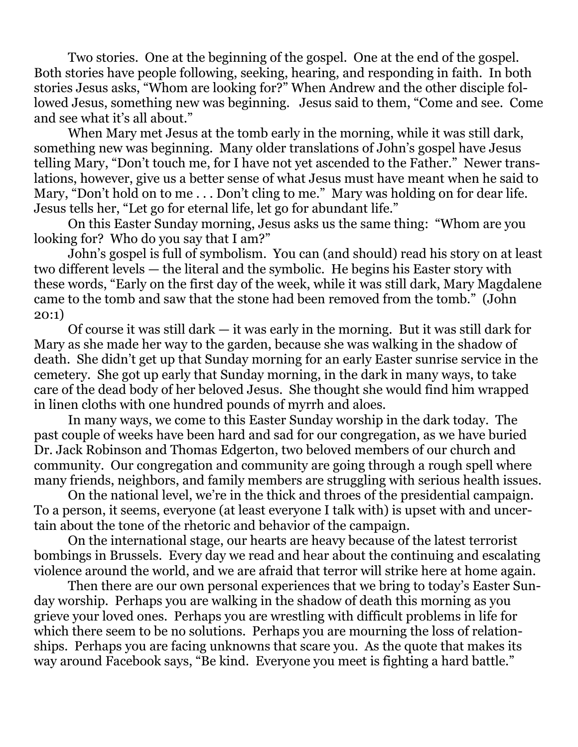Two stories. One at the beginning of the gospel. One at the end of the gospel. Both stories have people following, seeking, hearing, and responding in faith. In both stories Jesus asks, "Whom are looking for?" When Andrew and the other disciple followed Jesus, something new was beginning. Jesus said to them, "Come and see. Come and see what it's all about."

 When Mary met Jesus at the tomb early in the morning, while it was still dark, something new was beginning. Many older translations of John's gospel have Jesus telling Mary, "Don't touch me, for I have not yet ascended to the Father." Newer translations, however, give us a better sense of what Jesus must have meant when he said to Mary, "Don't hold on to me... Don't cling to me." Mary was holding on for dear life. Jesus tells her, "Let go for eternal life, let go for abundant life."

 On this Easter Sunday morning, Jesus asks us the same thing: "Whom are you looking for? Who do you say that I am?"

 John's gospel is full of symbolism. You can (and should) read his story on at least two different levels — the literal and the symbolic. He begins his Easter story with these words, "Early on the first day of the week, while it was still dark, Mary Magdalene came to the tomb and saw that the stone had been removed from the tomb." (John 20:1)

 Of course it was still dark — it was early in the morning. But it was still dark for Mary as she made her way to the garden, because she was walking in the shadow of death. She didn't get up that Sunday morning for an early Easter sunrise service in the cemetery. She got up early that Sunday morning, in the dark in many ways, to take care of the dead body of her beloved Jesus. She thought she would find him wrapped in linen cloths with one hundred pounds of myrrh and aloes.

 In many ways, we come to this Easter Sunday worship in the dark today. The past couple of weeks have been hard and sad for our congregation, as we have buried Dr. Jack Robinson and Thomas Edgerton, two beloved members of our church and community. Our congregation and community are going through a rough spell where many friends, neighbors, and family members are struggling with serious health issues.

 On the national level, we're in the thick and throes of the presidential campaign. To a person, it seems, everyone (at least everyone I talk with) is upset with and uncertain about the tone of the rhetoric and behavior of the campaign.

 On the international stage, our hearts are heavy because of the latest terrorist bombings in Brussels. Every day we read and hear about the continuing and escalating violence around the world, and we are afraid that terror will strike here at home again.

 Then there are our own personal experiences that we bring to today's Easter Sunday worship. Perhaps you are walking in the shadow of death this morning as you grieve your loved ones. Perhaps you are wrestling with difficult problems in life for which there seem to be no solutions. Perhaps you are mourning the loss of relationships. Perhaps you are facing unknowns that scare you. As the quote that makes its way around Facebook says, "Be kind. Everyone you meet is fighting a hard battle."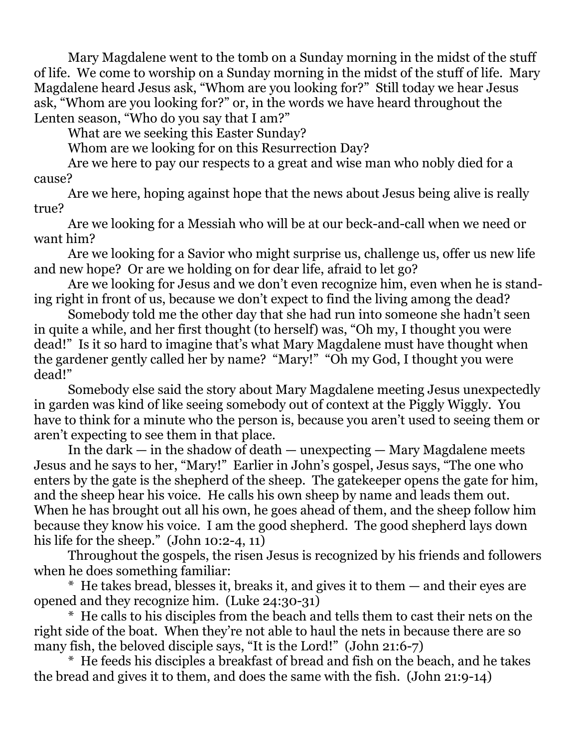Mary Magdalene went to the tomb on a Sunday morning in the midst of the stuff of life. We come to worship on a Sunday morning in the midst of the stuff of life. Mary Magdalene heard Jesus ask, "Whom are you looking for?" Still today we hear Jesus ask, "Whom are you looking for?" or, in the words we have heard throughout the Lenten season, "Who do you say that I am?"

What are we seeking this Easter Sunday?

Whom are we looking for on this Resurrection Day?

 Are we here to pay our respects to a great and wise man who nobly died for a cause?

 Are we here, hoping against hope that the news about Jesus being alive is really true?

 Are we looking for a Messiah who will be at our beck-and-call when we need or want him?

 Are we looking for a Savior who might surprise us, challenge us, offer us new life and new hope? Or are we holding on for dear life, afraid to let go?

 Are we looking for Jesus and we don't even recognize him, even when he is standing right in front of us, because we don't expect to find the living among the dead?

 Somebody told me the other day that she had run into someone she hadn't seen in quite a while, and her first thought (to herself) was, "Oh my, I thought you were dead!" Is it so hard to imagine that's what Mary Magdalene must have thought when the gardener gently called her by name? "Mary!" "Oh my God, I thought you were dead!"

 Somebody else said the story about Mary Magdalene meeting Jesus unexpectedly in garden was kind of like seeing somebody out of context at the Piggly Wiggly. You have to think for a minute who the person is, because you aren't used to seeing them or aren't expecting to see them in that place.

 In the dark — in the shadow of death — unexpecting — Mary Magdalene meets Jesus and he says to her, "Mary!" Earlier in John's gospel, Jesus says, "The one who enters by the gate is the shepherd of the sheep. The gatekeeper opens the gate for him, and the sheep hear his voice. He calls his own sheep by name and leads them out. When he has brought out all his own, he goes ahead of them, and the sheep follow him because they know his voice. I am the good shepherd. The good shepherd lays down his life for the sheep." (John 10:2-4, 11)

 Throughout the gospels, the risen Jesus is recognized by his friends and followers when he does something familiar:

 \* He takes bread, blesses it, breaks it, and gives it to them — and their eyes are opened and they recognize him. (Luke 24:30-31)

 \* He calls to his disciples from the beach and tells them to cast their nets on the right side of the boat. When they're not able to haul the nets in because there are so many fish, the beloved disciple says, "It is the Lord!" (John 21:6-7)

 \* He feeds his disciples a breakfast of bread and fish on the beach, and he takes the bread and gives it to them, and does the same with the fish. (John 21:9-14)